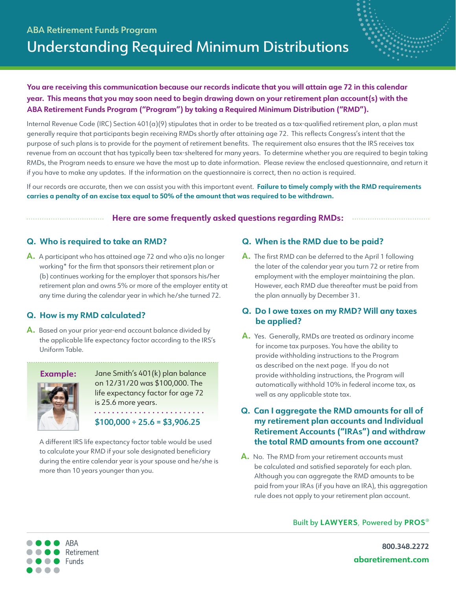



# **You are receiving this communication because our records indicate that you will attain age 72 in this calendar year. This means that you may soon need to begin drawing down on your retirement plan account(s) with the ABA Retirement Funds Program ("Program") by taking a Required Minimum Distribution ("RMD").**

Internal Revenue Code (IRC) Section  $401(a)(9)$  stipulates that in order to be treated as a tax-qualified retirement plan, a plan must generally require that participants begin receiving RMDs shortly after attaining age 72. This reflects Congress's intent that the purpose of such plans is to provide for the payment of retirement benefits. The requirement also ensures that the IRS receives tax revenue from an account that has typically been tax-sheltered for many years. To determine whether you are required to begin taking RMDs, the Program needs to ensure we have the most up to date information. Please review the enclosed questionnaire, and return it if you have to make any updates. If the information on the questionnaire is correct, then no action is required.

If our records are accurate, then we can assist you with this important event. **Failure to timely comply with the RMD requirements carries a penalty of an excise tax equal to 50% of the amount that was required to be withdrawn.**

### **Here are some frequently asked questions regarding RMDs:**

# **Q. Who is required to take an RMD?**

**A.** A participant who has attained age 72 and who a)is no longer working\* for the firm that sponsors their retirement plan or (b) continues working for the employer that sponsors his/her retirement plan and owns 5% or more of the employer entity at any time during the calendar year in which he/she turned 72.

# **Q. How is my RMD calculated?**

**A.** Based on your prior year-end account balance divided by the applicable life expectancy factor according to the IRS's Uniform Table.

#### **Example:**



Jane Smith's 401(k) plan balance on 12/31/20 was \$100,000. The life expectancy factor for age 72 is 25.6 more years. 

#### $$100,000 \div 25.6 = $3,906.25$

A different IRS life expectancy factor table would be used to calculate your RMD if your sole designated beneficiary during the entire calendar year is your spouse and he/she is more than 10 years younger than you.

### **Q. When is the RMD due to be paid?**

**A.** The first RMD can be deferred to the April 1 following the later of the calendar year you turn 72 or retire from employment with the employer maintaining the plan. However, each RMD due thereafter must be paid from the plan annually by December 31.

# **Q. Do I owe taxes on my RMD? Will any taxes be applied?**

**A.** Yes. Generally, RMDs are treated as ordinary income for income tax purposes. You have the ability to provide withholding instructions to the Program as described on the next page. If you do not provide withholding instructions, the Program will automatically withhold 10% in federal income tax, as well as any applicable state tax.

# **Q. Can I aggregate the RMD amounts for all of my retirement plan accounts and Individual Retirement Accounts ("IRAs") and withdraw the total RMD amounts from one account?**

**A.** No. The RMD from your retirement accounts must be calculated and satisfied separately for each plan. Although you can aggregate the RMD amounts to be paid from your IRAs (if you have an IRA), this aggregation rule does not apply to your retirement plan account.

Built by **LAWYERS**, Powered by **PROS**®



**800.348.2272 [abaretirement.com](https://www.abaretirement.com)**